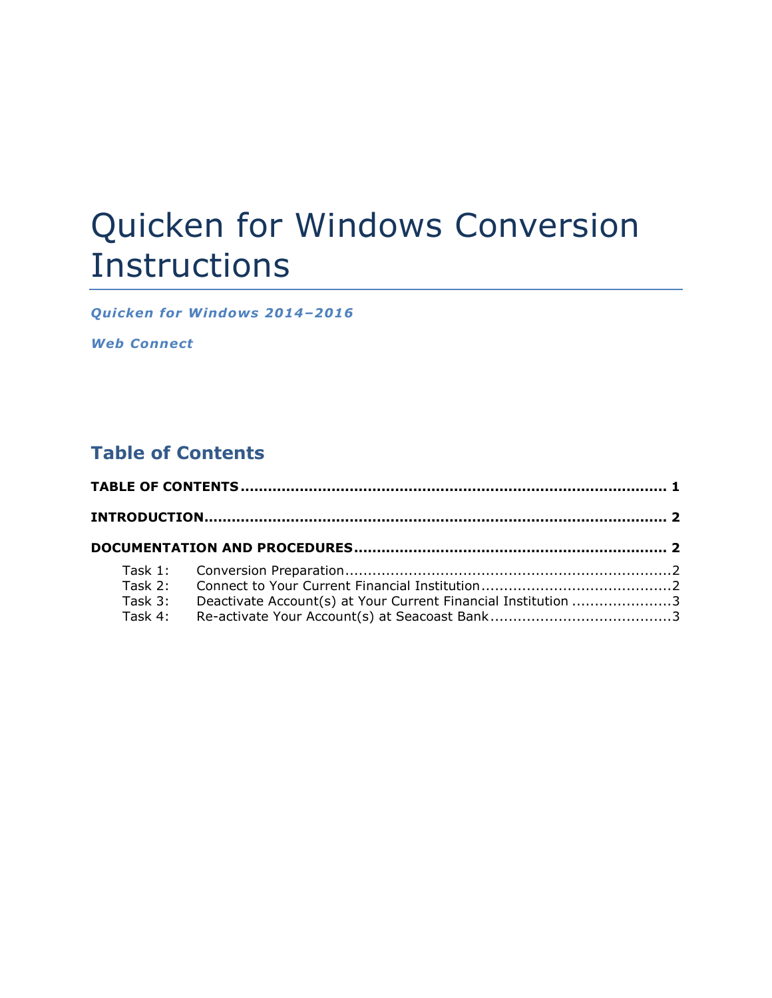# Quicken for Windows Conversion Instructions

*Quicken for W indows 2014–2016*

*Web Connect*

# **Table of Contents**

| Task 3: | Deactivate Account(s) at Your Current Financial Institution 3 |  |
|---------|---------------------------------------------------------------|--|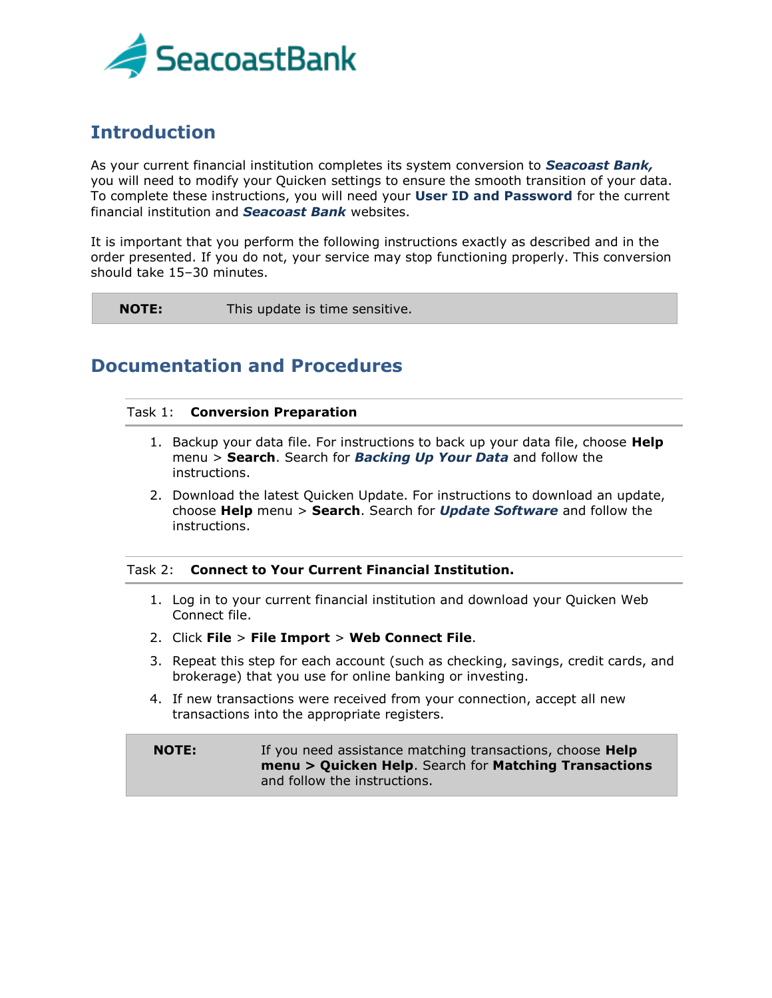

# **Introduction**

As your current financial institution completes its system conversion to *Seacoast Bank,* you will need to modify your Quicken settings to ensure the smooth transition of your data. To complete these instructions, you will need your **User ID and Password** for the current financial institution and *Seacoast Bank* websites.

It is important that you perform the following instructions exactly as described and in the order presented. If you do not, your service may stop functioning properly. This conversion should take 15–30 minutes.

**NOTE:** This update is time sensitive.

## **Documentation and Procedures**

#### Task 1: **Conversion Preparation**

- 1. Backup your data file. For instructions to back up your data file, choose **Help** menu > **Search**. Search for *Backing Up Your Data* and follow the instructions.
- 2. Download the latest Quicken Update. For instructions to download an update, choose **Help** menu > **Search**. Search for *Update Software* and follow the instructions.

## Task 2: **Connect to Your Current Financial Institution.**

- 1. Log in to your current financial institution and download your Quicken Web Connect file.
- 2. Click **File** > **File Import** > **Web Connect File**.
- 3. Repeat this step for each account (such as checking, savings, credit cards, and brokerage) that you use for online banking or investing.
- 4. If new transactions were received from your connection, accept all new transactions into the appropriate registers.

**NOTE:** If you need assistance matching transactions, choose **Help menu > Quicken Help**. Search for **Matching Transactions** and follow the instructions.